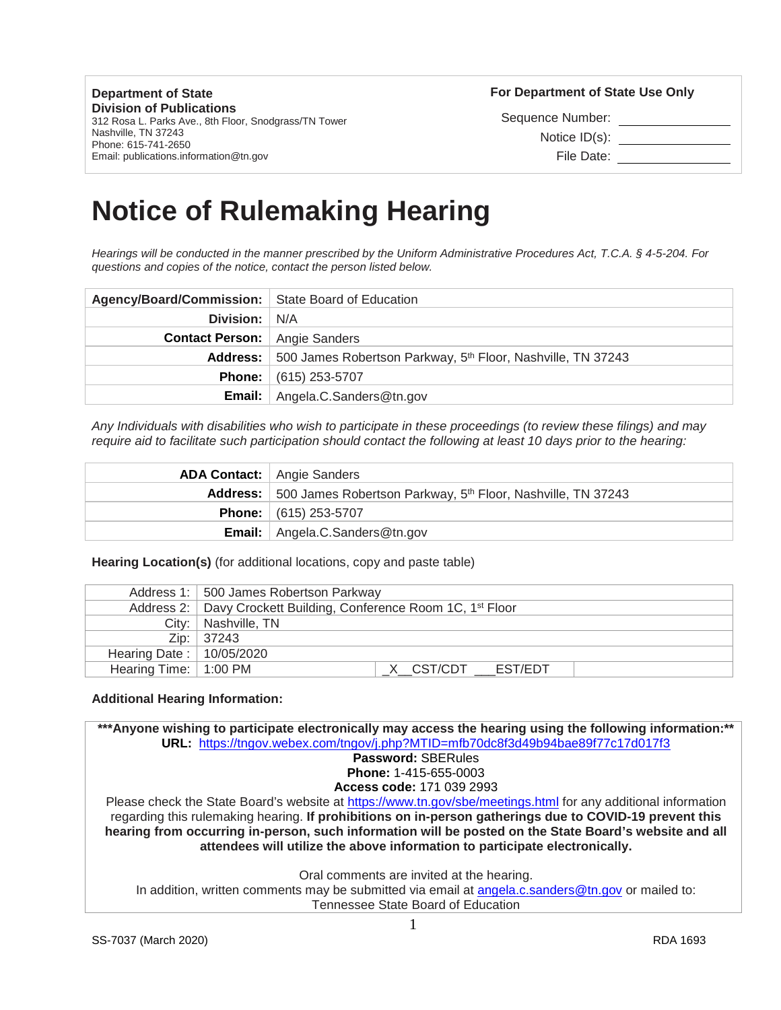**Department of State Division of Publications** 312 Rosa L. Parks Ave., 8th Floor, Snodgrass/TN Tower Nashville, TN 37243 Phone: 615-741-2650 Email: publications.information@tn.gov

**For Department of State Use Only** 

Sequence Number:

Notice ID(s):

File Date:

# **Notice of Rulemaking Hearing**

*Hearings will be conducted in the manner prescribed by the Uniform Administrative Procedures Act, T.C.A. § 4-5-204. For questions and copies of the notice, contact the person listed below.*

| Agency/Board/Commission:   State Board of Education |                                                                                  |
|-----------------------------------------------------|----------------------------------------------------------------------------------|
| Division: N/A                                       |                                                                                  |
| <b>Contact Person:</b> Angie Sanders                |                                                                                  |
|                                                     | Address: 500 James Robertson Parkway, 5 <sup>th</sup> Floor, Nashville, TN 37243 |
|                                                     | <b>Phone:</b> $(615)$ 253-5707                                                   |
|                                                     | <b>Email:</b> Angela.C.Sanders@tn.gov                                            |

*Any Individuals with disabilities who wish to participate in these proceedings (to review these filings) and may require aid to facilitate such participation should contact the following at least 10 days prior to the hearing:*

| <b>ADA Contact:</b> Angie Sanders                                                |
|----------------------------------------------------------------------------------|
| Address: 500 James Robertson Parkway, 5 <sup>th</sup> Floor, Nashville, TN 37243 |
| <b>Phone:</b> $(615)$ 253-5707                                                   |
| <b>Email:</b> Angela.C.Sanders@tn.gov                                            |

**Hearing Location(s)** (for additional locations, copy and paste table)

|                                  | Address 1:   500 James Robertson Parkway                                       |
|----------------------------------|--------------------------------------------------------------------------------|
|                                  | Address 2:   Davy Crockett Building, Conference Room 1C, 1 <sup>st</sup> Floor |
|                                  | City:   Nashville, TN                                                          |
|                                  | Zip:   37243                                                                   |
| Hearing Date: $\vert$ 10/05/2020 |                                                                                |
| Hearing Time: 1:00 PM            | X CST/CDT EST/EDT                                                              |

### **Additional Hearing Information:**

**\*\*\*Anyone wishing to participate electronically may access the hearing using the following information:\*\* URL:** <https://tngov.webex.com/tngov/j.php?MTID=mfb70dc8f3d49b94bae89f77c17d017f3> **Password:** SBERules **Phone:** 1-415-655-0003 **Access code:** 171 039 2993 Please check the State Board's website at<https://www.tn.gov/sbe/meetings.html> for any additional information regarding this rulemaking hearing. **If prohibitions on in-person gatherings due to COVID-19 prevent this hearing from occurring in-person, such information will be posted on the State Board's website and all attendees will utilize the above information to participate electronically.** Oral comments are invited at the hearing. In addition, written comments may be submitted via email at [angela.c.sanders@tn.gov](mailto:angela.c.sanders@tn.gov) or mailed to:

Tennessee State Board of Education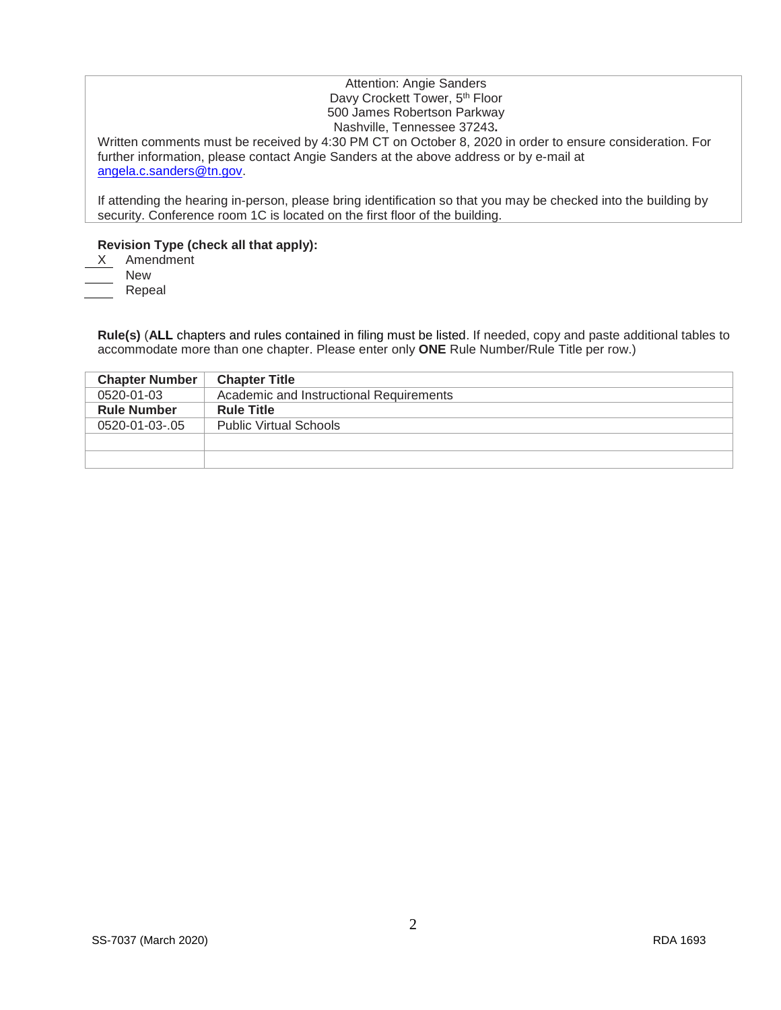## Attention: Angie Sanders Davy Crockett Tower, 5<sup>th</sup> Floor 500 James Robertson Parkway Nashville, Tennessee 37243**.**

Written comments must be received by 4:30 PM CT on October 8, 2020 in order to ensure consideration. For further information, please contact Angie Sanders at the above address or by e-mail at [angela.c.sanders@tn.gov.](mailto:angela.c.sanders@tn.gov)

If attending the hearing in-person, please bring identification so that you may be checked into the building by security. Conference room 1C is located on the first floor of the building.

# **Revision Type (check all that apply):**

Amendment New Repeal

**Rule(s)** (**ALL** chapters and rules contained in filing must be listed. If needed, copy and paste additional tables to accommodate more than one chapter. Please enter only **ONE** Rule Number/Rule Title per row.)

| <b>Chapter Number</b> | <b>Chapter Title</b>                    |
|-----------------------|-----------------------------------------|
| 0520-01-03            | Academic and Instructional Requirements |
| <b>Rule Number</b>    | <b>Rule Title</b>                       |
| 0520-01-03-.05        | <b>Public Virtual Schools</b>           |
|                       |                                         |
|                       |                                         |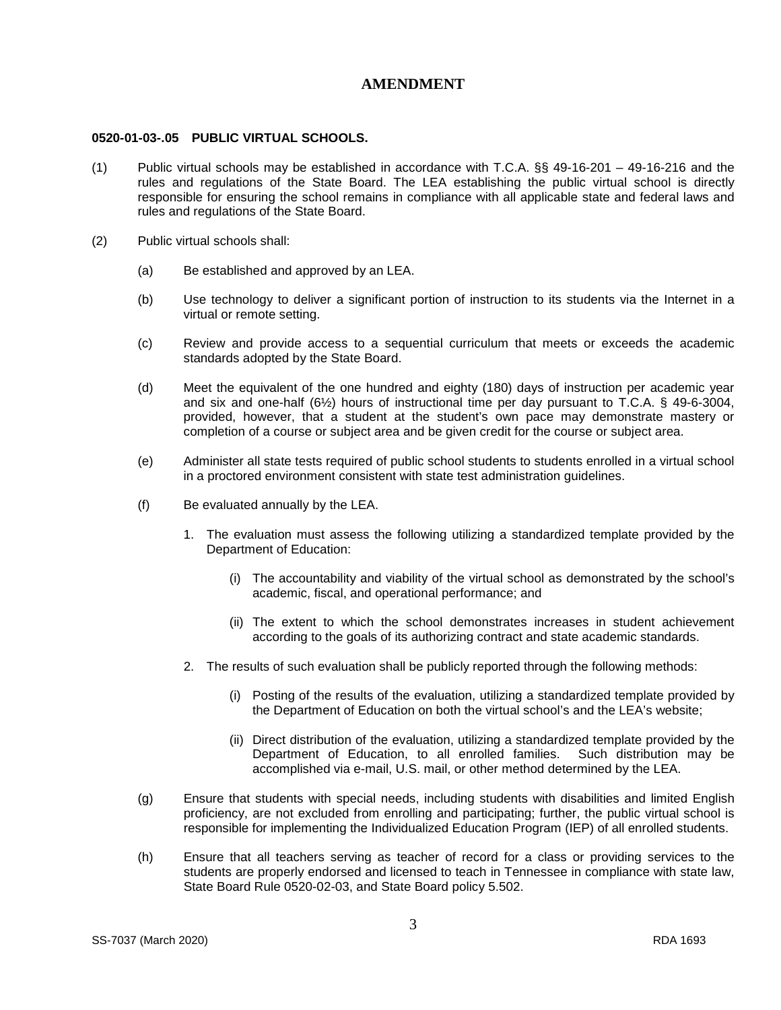# **AMENDMENT**

#### **0520-01-03-.05 PUBLIC VIRTUAL SCHOOLS.**

- (1) Public virtual schools may be established in accordance with T.C.A. §§ 49-16-201 49-16-216 and the rules and regulations of the State Board. The LEA establishing the public virtual school is directly responsible for ensuring the school remains in compliance with all applicable state and federal laws and rules and regulations of the State Board.
- (2) Public virtual schools shall:
	- (a) Be established and approved by an LEA.
	- (b) Use technology to deliver a significant portion of instruction to its students via the Internet in a virtual or remote setting.
	- (c) Review and provide access to a sequential curriculum that meets or exceeds the academic standards adopted by the State Board.
	- (d) Meet the equivalent of the one hundred and eighty (180) days of instruction per academic year and six and one-half  $(6/2)$  hours of instructional time per day pursuant to T.C.A. § 49-6-3004, provided, however, that a student at the student's own pace may demonstrate mastery or completion of a course or subject area and be given credit for the course or subject area.
	- (e) Administer all state tests required of public school students to students enrolled in a virtual school in a proctored environment consistent with state test administration guidelines.
	- (f) Be evaluated annually by the LEA.
		- 1. The evaluation must assess the following utilizing a standardized template provided by the Department of Education:
			- (i) The accountability and viability of the virtual school as demonstrated by the school's academic, fiscal, and operational performance; and
			- (ii) The extent to which the school demonstrates increases in student achievement according to the goals of its authorizing contract and state academic standards.
		- 2. The results of such evaluation shall be publicly reported through the following methods:
			- (i) Posting of the results of the evaluation, utilizing a standardized template provided by the Department of Education on both the virtual school's and the LEA's website;
			- (ii) Direct distribution of the evaluation, utilizing a standardized template provided by the Department of Education, to all enrolled families. Such distribution may be accomplished via e-mail, U.S. mail, or other method determined by the LEA.
	- (g) Ensure that students with special needs, including students with disabilities and limited English proficiency, are not excluded from enrolling and participating; further, the public virtual school is responsible for implementing the Individualized Education Program (IEP) of all enrolled students.
	- (h) Ensure that all teachers serving as teacher of record for a class or providing services to the students are properly endorsed and licensed to teach in Tennessee in compliance with state law, State Board Rule 0520-02-03, and State Board policy 5.502.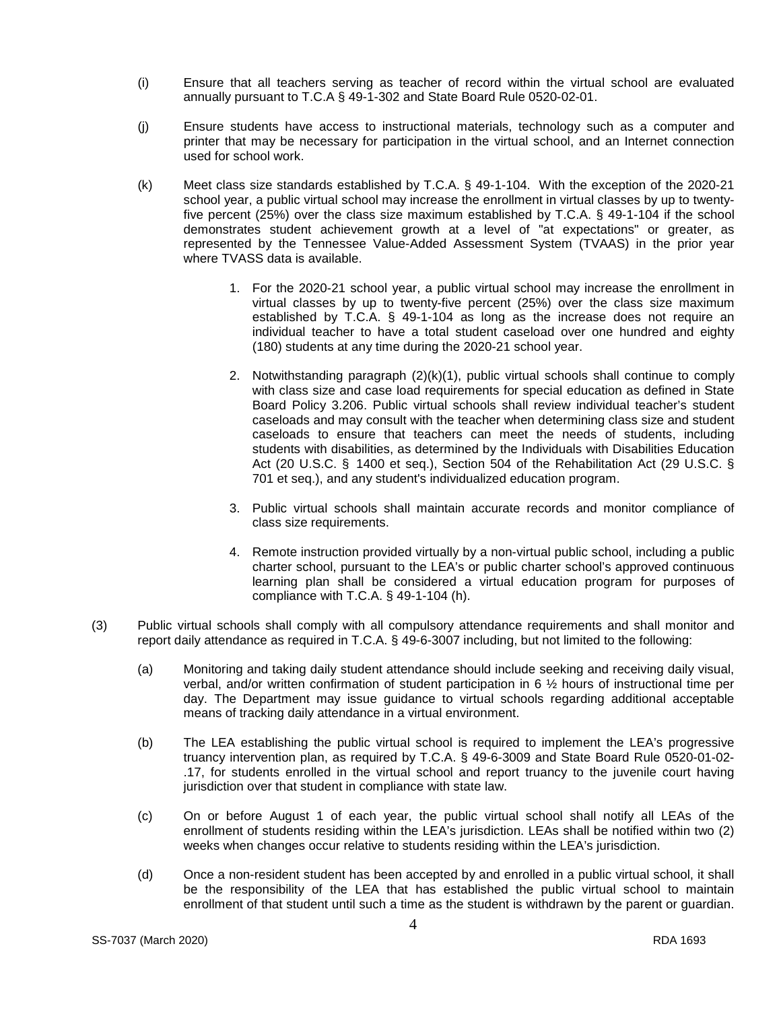- (i) Ensure that all teachers serving as teacher of record within the virtual school are evaluated annually pursuant to T.C.A § 49-1-302 and State Board Rule 0520-02-01.
- (j) Ensure students have access to instructional materials, technology such as a computer and printer that may be necessary for participation in the virtual school, and an Internet connection used for school work.
- (k) Meet class size standards established by T.C.A. § 49-1-104. With the exception of the 2020-21 school year, a public virtual school may increase the enrollment in virtual classes by up to twentyfive percent (25%) over the class size maximum established by T.C.A. § 49-1-104 if the school demonstrates student achievement growth at a level of "at expectations" or greater, as represented by the Tennessee Value-Added Assessment System (TVAAS) in the prior year where TVASS data is available.
	- 1. For the 2020-21 school year, a public virtual school may increase the enrollment in virtual classes by up to twenty-five percent (25%) over the class size maximum established by T.C.A. § 49-1-104 as long as the increase does not require an individual teacher to have a total student caseload over one hundred and eighty (180) students at any time during the 2020-21 school year.
	- 2. Notwithstanding paragraph  $(2)(k)(1)$ , public virtual schools shall continue to comply with class size and case load requirements for special education as defined in State Board Policy 3.206. Public virtual schools shall review individual teacher's student caseloads and may consult with the teacher when determining class size and student caseloads to ensure that teachers can meet the needs of students, including students with disabilities, as determined by the Individuals with Disabilities Education Act (20 U.S.C. § 1400 et seq.), Section 504 of the Rehabilitation Act (29 U.S.C. § 701 et seq.), and any student's individualized education program.
	- 3. Public virtual schools shall maintain accurate records and monitor compliance of class size requirements.
	- 4. Remote instruction provided virtually by a non-virtual public school, including a public charter school, pursuant to the LEA's or public charter school's approved continuous learning plan shall be considered a virtual education program for purposes of compliance with T.C.A. § 49-1-104 (h).
- (3) Public virtual schools shall comply with all compulsory attendance requirements and shall monitor and report daily attendance as required in T.C.A. § 49-6-3007 including, but not limited to the following:
	- (a) Monitoring and taking daily student attendance should include seeking and receiving daily visual, verbal, and/or written confirmation of student participation in 6 ½ hours of instructional time per day. The Department may issue guidance to virtual schools regarding additional acceptable means of tracking daily attendance in a virtual environment.
	- (b) The LEA establishing the public virtual school is required to implement the LEA's progressive truancy intervention plan, as required by T.C.A. § 49-6-3009 and State Board Rule 0520-01-02- .17, for students enrolled in the virtual school and report truancy to the juvenile court having jurisdiction over that student in compliance with state law.
	- (c) On or before August 1 of each year, the public virtual school shall notify all LEAs of the enrollment of students residing within the LEA's jurisdiction. LEAs shall be notified within two (2) weeks when changes occur relative to students residing within the LEA's jurisdiction.
	- (d) Once a non-resident student has been accepted by and enrolled in a public virtual school, it shall be the responsibility of the LEA that has established the public virtual school to maintain enrollment of that student until such a time as the student is withdrawn by the parent or guardian.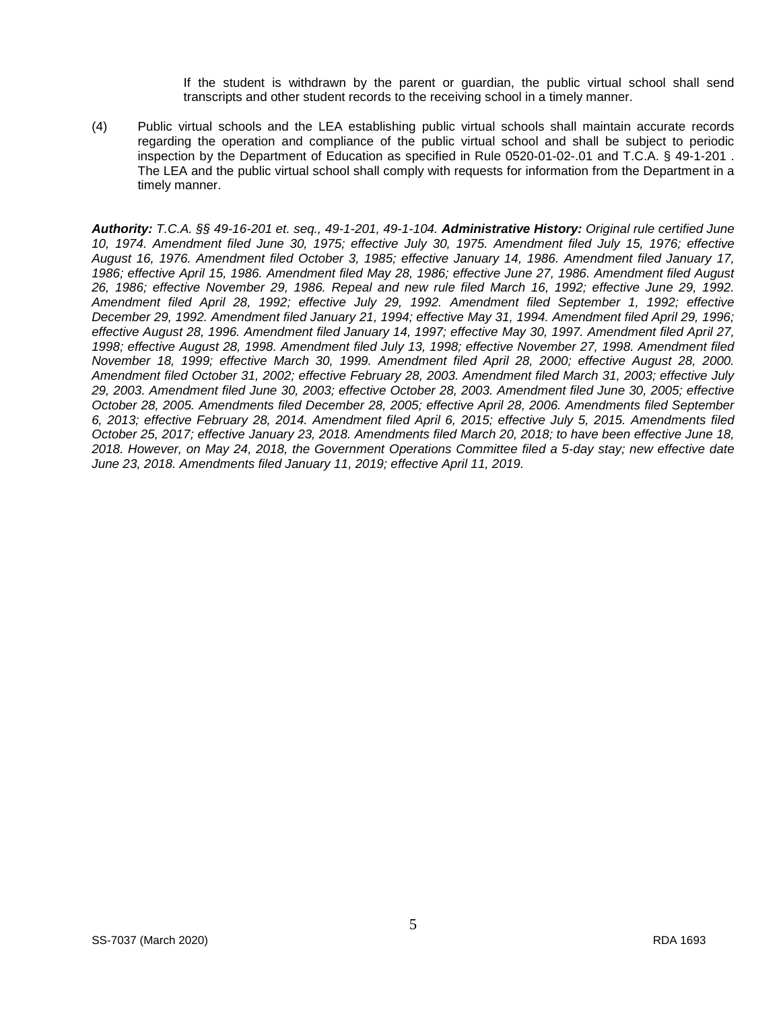If the student is withdrawn by the parent or guardian, the public virtual school shall send transcripts and other student records to the receiving school in a timely manner.

(4) Public virtual schools and the LEA establishing public virtual schools shall maintain accurate records regarding the operation and compliance of the public virtual school and shall be subject to periodic inspection by the Department of Education as specified in Rule 0520-01-02-.01 and T.C.A. § 49-1-201 . The LEA and the public virtual school shall comply with requests for information from the Department in a timely manner.

*Authority: T.C.A. §§ 49-16-201 et. seq., 49-1-201, 49-1-104. Administrative History: Original rule certified June 10, 1974. Amendment filed June 30, 1975; effective July 30, 1975. Amendment filed July 15, 1976; effective August 16, 1976. Amendment filed October 3, 1985; effective January 14, 1986. Amendment filed January 17, 1986; effective April 15, 1986. Amendment filed May 28, 1986; effective June 27, 1986. Amendment filed August 26, 1986; effective November 29, 1986. Repeal and new rule filed March 16, 1992; effective June 29, 1992. Amendment filed April 28, 1992; effective July 29, 1992. Amendment filed September 1, 1992; effective December 29, 1992. Amendment filed January 21, 1994; effective May 31, 1994. Amendment filed April 29, 1996; effective August 28, 1996. Amendment filed January 14, 1997; effective May 30, 1997. Amendment filed April 27, 1998; effective August 28, 1998. Amendment filed July 13, 1998; effective November 27, 1998. Amendment filed November 18, 1999; effective March 30, 1999. Amendment filed April 28, 2000; effective August 28, 2000. Amendment filed October 31, 2002; effective February 28, 2003. Amendment filed March 31, 2003; effective July 29, 2003. Amendment filed June 30, 2003; effective October 28, 2003. Amendment filed June 30, 2005; effective October 28, 2005. Amendments filed December 28, 2005; effective April 28, 2006. Amendments filed September 6, 2013; effective February 28, 2014. Amendment filed April 6, 2015; effective July 5, 2015. Amendments filed October 25, 2017; effective January 23, 2018. Amendments filed March 20, 2018; to have been effective June 18, 2018. However, on May 24, 2018, the Government Operations Committee filed a 5-day stay; new effective date June 23, 2018. Amendments filed January 11, 2019; effective April 11, 2019.*